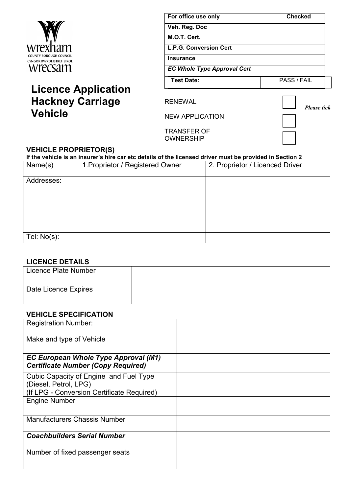

# **Licence Application Hackney Carriage Vehicle**

| For office use only                | <b>Checked</b> |
|------------------------------------|----------------|
| Veh. Reg. Doc                      |                |
| M.O.T. Cert.                       |                |
| L.P.G. Conversion Cert             |                |
| <b>Insurance</b>                   |                |
| <b>EC Whole Type Approval Cert</b> |                |
| <b>Test Date:</b>                  | PASS / FAIL    |

RENEWAL

NEW APPLICATION



*Please tick*

TRANSFER OF OWNERSHIP

## **VEHICLE PROPRIETOR(S)**

**If the vehicle is an insurer's hire car etc details of the licensed driver must be provided in Section 2**<br>Name(s) 1. Proprietor / Registered Owner 2. Proprietor / Licenced Driver Name(s) 1.Proprietor / Registered Owner Addresses: Tel: No(s):

#### **LICENCE DETAILS**

| --------------       |  |
|----------------------|--|
| Licence Plate Number |  |
| Date Licence Expires |  |

## **VEHICLE SPECIFICATION**

| <b>Registration Number:</b>                                                                                   |  |
|---------------------------------------------------------------------------------------------------------------|--|
| Make and type of Vehicle                                                                                      |  |
| EC European Whole Type Approval (M1)<br><b>Certificate Number (Copy Required)</b>                             |  |
| Cubic Capacity of Engine and Fuel Type<br>(Diesel, Petrol, LPG)<br>(If LPG - Conversion Certificate Required) |  |
| <b>Engine Number</b>                                                                                          |  |
| <b>Manufacturers Chassis Number</b>                                                                           |  |
| <b>Coachbuilders Serial Number</b>                                                                            |  |
| Number of fixed passenger seats                                                                               |  |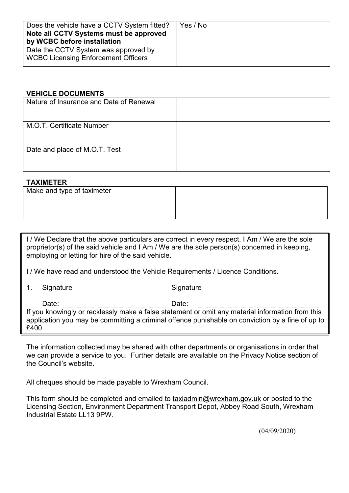| Does the vehicle have a CCTV System fitted?<br>Note all CCTV Systems must be approved<br>by WCBC before installation | Yes / No |
|----------------------------------------------------------------------------------------------------------------------|----------|
| Date the CCTV System was approved by<br><b>WCBC Licensing Enforcement Officers</b>                                   |          |

## **VEHICLE DOCUMENTS**

| Nature of Insurance and Date of Renewal |  |
|-----------------------------------------|--|
| M.O.T. Certificate Number               |  |
| Date and place of M.O.T. Test           |  |

## **TAXIMETER**

| Make and type of taximeter |  |
|----------------------------|--|
|                            |  |
|                            |  |

I / We Declare that the above particulars are correct in every respect, I Am / We are the sole proprietor(s) of the said vehicle and I Am / We are the sole person(s) concerned in keeping, employing or letting for hire of the said vehicle.

I / We have read and understood the Vehicle Requirements / Licence Conditions.

1. Signature Signature Signature

Date: Date:

If you knowingly or recklessly make a false statement or omit any material information from this application you may be committing a criminal offence punishable on conviction by a fine of up to £400.

The information collected may be shared with other departments or organisations in order that we can provide a service to you. Further details are available on the Privacy Notice section of the Council's website.

All cheques should be made payable to Wrexham Council.

This form should be completed and emailed to [taxiadmin@wrexham.gov.uk](mailto:taxiadmin@wrexham.gov.uk) or posted to the Licensing Section, Environment Department Transport Depot, Abbey Road South, Wrexham Industrial Estate LL13 9PW.

(04/09/2020)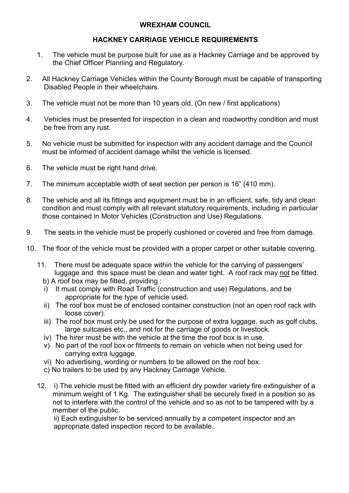#### **WREXHAM COUNCIL**

## **HACKNEY CARRIAGE VEHICLE REQUIREMENTS**

- 1. The vehicle must be purpose built for use as a Hackney Carriage and be approved by the Chief Officer Planning and Regulatory.
- 2. All Hackney Carriage Vehicles within the County Borough must be capable of transporting Disabled People in their wheelchairs.
- 3. The vehicle must not be more than 10 years old. (On new / first applications)
- 4. Vehicles must be presented for inspection in a clean and roadworthy condition and must be free from any rust.
- 5. No vehicle must be submitted for inspection with any accident damage and the Council must be informed of accident damage whilst the vehicle is licensed.
- 6. The vehicle must be right hand drive.
- 7. The minimum acceptable width of seat section per person is 16" (410 mm).
- 8. The vehicle and all its fittings and equipment must be in an efficient, safe, tidy and clean condition and must comply with all relevant statutory requirements, including in particular those contained in Motor Vehicles (Construction and Use) Regulations.
- 9. The seats in the vehicle must be properly cushioned or covered and free from damage.
- 10. The floor of the vehicle must be provided with a proper carpet or other suitable covering.
	- 11. There must be adequate space within the vehicle for the carrying of passengers' luggage and this space must be clean and water tight. A roof rack may not be fitted.
		- b) A roof box may be fitted, providing :
		- i) It must comply with Road Traffic (construction and use) Regulations, and be appropriate for the type of vehicle used.
		- ii) The roof box must be of enclosed container construction (not an open roof rack with loose cover).
		- iii) The roof box must only be used for the purpose of extra luggage, such as golf clubs, large suitcases etc., and not for the carriage of goods or livestock.
		- iv) The hirer must be with the vehicle at the time the roof box is in use.
		- v) No part of the roof box or fitments to remain on vehicle when not being used for carrying extra luggage.
		- vi) No advertising, wording or numbers to be allowed on the roof box.
		- c) No trailers to be used by any Hackney Carriage Vehicle.
	- 12. i) The vehicle must be fitted with an efficient dry powder variety fire extinguisher of a minimum weight of 1 Kg. The extinguisher shall be securely fixed in a position so as not to interfere with the control of the vehicle and so as not to be tampered with by a member of the public.

 ii) Each extinguisher to be serviced annually by a competent inspector and an appropriate dated inspection record to be available.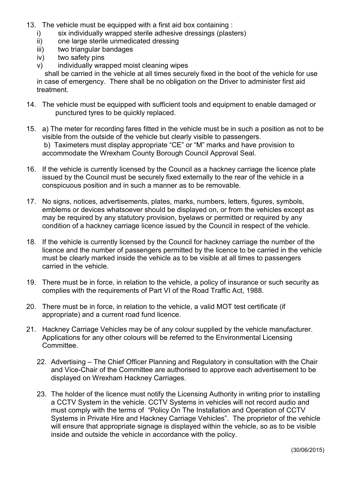- 13. The vehicle must be equipped with a first aid box containing :
	- i) six individually wrapped sterile adhesive dressings (plasters)
	- ii) one large sterile unmedicated dressing
	- iii) two triangular bandages
	- iv) two safety pins
	- v) individually wrapped moist cleaning wipes

 shall be carried in the vehicle at all times securely fixed in the boot of the vehicle for use in case of emergency. There shall be no obligation on the Driver to administer first aid treatment.

- 14. The vehicle must be equipped with sufficient tools and equipment to enable damaged or punctured tyres to be quickly replaced.
- 15. a) The meter for recording fares fitted in the vehicle must be in such a position as not to be visible from the outside of the vehicle but clearly visible to passengers. b) Taximeters must display appropriate "CE" or "M" marks and have provision to accommodate the Wrexham County Borough Council Approval Seal.
- 16. If the vehicle is currently licensed by the Council as a hackney carriage the licence plate issued by the Council must be securely fixed externally to the rear of the vehicle in a conspicuous position and in such a manner as to be removable.
- 17. No signs, notices, advertisements, plates, marks, numbers, letters, figures, symbols, emblems or devices whatsoever should be displayed on, or from the vehicles except as may be required by any statutory provision, byelaws or permitted or required by any condition of a hackney carriage licence issued by the Council in respect of the vehicle.
- 18. If the vehicle is currently licensed by the Council for hackney carriage the number of the licence and the number of passengers permitted by the licence to be carried in the vehicle must be clearly marked inside the vehicle as to be visible at all times to passengers carried in the vehicle.
- 19. There must be in force, in relation to the vehicle, a policy of insurance or such security as complies with the requirements of Part VI of the Road Traffic Act, 1988.
- 20. There must be in force, in relation to the vehicle, a valid MOT test certificate (if appropriate) and a current road fund licence.
- 21. Hackney Carriage Vehicles may be of any colour supplied by the vehicle manufacturer. Applications for any other colours will be referred to the Environmental Licensing Committee.
	- 22. Advertising The Chief Officer Planning and Regulatory in consultation with the Chair and Vice-Chair of the Committee are authorised to approve each advertisement to be displayed on Wrexham Hackney Carriages.
	- 23. The holder of the licence must notify the Licensing Authority in writing prior to installing a CCTV System in the vehicle. CCTV Systems in vehicles will not record audio and must comply with the terms of "Policy On The Installation and Operation of CCTV Systems in Private Hire and Hackney Carriage Vehicles". The proprietor of the vehicle will ensure that appropriate signage is displayed within the vehicle, so as to be visible inside and outside the vehicle in accordance with the policy.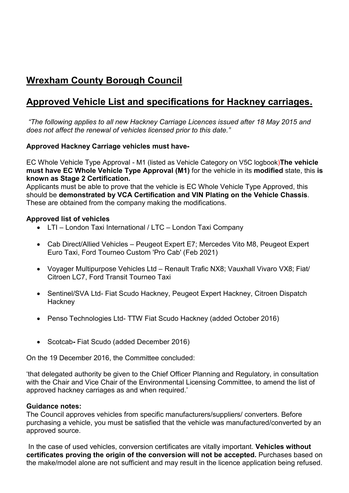## **Wrexham County Borough Council**

## **Approved Vehicle List and specifications for Hackney carriages.**

*"The following applies to all new Hackney Carriage Licences issued after 18 May 2015 and does not affect the renewal of vehicles licensed prior to this date."*

## **Approved Hackney Carriage vehicles must have-**

EC Whole Vehicle Type Approval - M1 (listed as Vehicle Category on V5C logbook)**The vehicle must have EC Whole Vehicle Type Approval (M1)** for the vehicle in its **modified** state, this **is known as Stage 2 Certification.**

Applicants must be able to prove that the vehicle is EC Whole Vehicle Type Approved, this should be **demonstrated by VCA Certification and VIN Plating on the Vehicle Chassis**. These are obtained from the company making the modifications.

## **Approved list of vehicles**

- LTI London Taxi International / LTC London Taxi Company
- Cab Direct/Allied Vehicles Peugeot Expert E7; Mercedes Vito M8, Peugeot Expert Euro Taxi, Ford Tourneo Custom 'Pro Cab' (Feb 2021)
- Voyager Multipurpose Vehicles Ltd Renault Trafic NX8; Vauxhall Vivaro VX8; Fiat/ Citroen LC7, Ford Transit Tourneo Taxi
- Sentinel/SVA Ltd- Fiat Scudo Hackney, Peugeot Expert Hackney, Citroen Dispatch **Hackney**
- Penso Technologies Ltd- TTW Fiat Scudo Hackney (added October 2016)
- Scotcab**-** Fiat Scudo (added December 2016)

On the 19 December 2016, the Committee concluded:

'that delegated authority be given to the Chief Officer Planning and Regulatory, in consultation with the Chair and Vice Chair of the Environmental Licensing Committee, to amend the list of approved hackney carriages as and when required.'

#### **Guidance notes:**

The Council approves vehicles from specific manufacturers/suppliers/ converters. Before purchasing a vehicle, you must be satisfied that the vehicle was manufactured/converted by an approved source.

In the case of used vehicles, conversion certificates are vitally important. **Vehicles without certificates proving the origin of the conversion will not be accepted.** Purchases based on the make/model alone are not sufficient and may result in the licence application being refused.